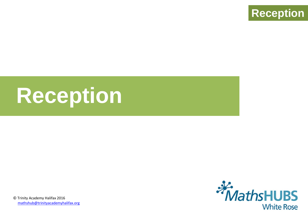

# **Reception**



© Trinity Academy Halifax 2016 [mathshub@trinityacademyhalifax.org](mailto:mathshub@trinityacademyhalifax.org)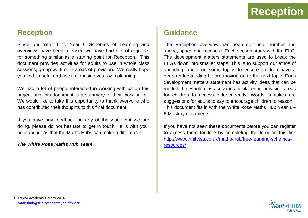

#### **Reception**

Since our Year 1 to Year 6 Schemes of Learning and overviews have been released we have had lots of requests for something similar as a starting point for Reception. This document provides activities for adults to use in whole class sessions, group work or in areas of provision. We really hope you find it useful and use it alongside your own planning.

We had a lot of people interested in working with us on this project and this document is a summary of their work so far. We would like to take this opportunity to thank everyone who has contributed their thoughts to this final document.

If you have any feedback on any of the work that we are doing, please do not hesitate to get in touch. It is with your help and ideas that the Maths Hubs can make a difference.

#### *The White Rose Maths Hub Team*

#### **Guidance**

The Reception overview has been split into number and shape, space and measure. Each section starts with the ELG. The development matters statements are used to break the ELGs down into smaller steps. This is to support our ethos of spending longer on some topics to ensure children have a deep understanding before moving on to the next topic. Each development matters statement has activity ideas that can be modelled in whole class sessions or placed in provision areas for children to access independently. Words in italics are suggestions for adults to say to encourage children to reason. This document fits in with the White Rose Maths Hub Year 1 – 6 Mastery documents.

If you have not seen these documents before you can register to access them for free by completing the form on this link [http://www.trinitytsa.co.uk/maths-hub/free-learning-schemes](http://www.trinitytsa.co.uk/maths-hub/free-learning-schemes-resources/)[resources/](http://www.trinitytsa.co.uk/maths-hub/free-learning-schemes-resources/)

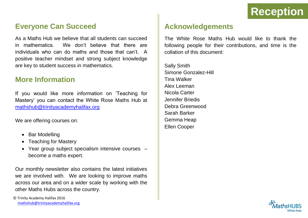#### **Everyone Can Succeed**

As a Maths Hub we believe that all students can succeed in mathematics. We don't believe that there are individuals who can do maths and those that can't. A positive teacher mindset and strong subject knowledge are key to student success in mathematics.

#### **More Information**

If you would like more information on 'Teaching for Mastery' you can contact the White Rose Maths Hub at [mathshub@trinityacademyhalifax.org](mailto:mathshub@trinityacademyhalifax.org)

We are offering courses on:

- Bar Modelling
- Teaching for Masterv
- Year group subject specialism intensive courses become a maths expert.

Our monthly newsletter also contains the latest initiatives we are involved with. We are looking to improve maths across our area and on a wider scale by working with the other Maths Hubs across the country.

#### **Acknowledgements**

The White Rose Maths Hub would like to thank the following people for their contributions, and time is the collation of this document:

Sally Smith Simone Gonzalez-Hill Tina Walker Alex Leeman Nicola Carter Jennifer Briedis Debra Greenwood Sarah Barker Gemma Heap Ellen Cooper